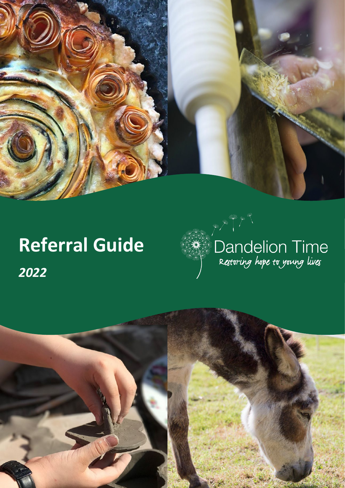

# Dandelion Time<br>Restoring hope to young lives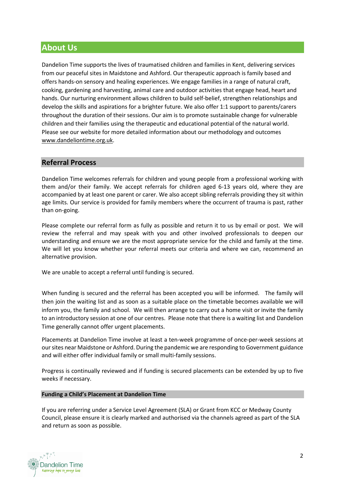# **About Us**

Dandelion Time supports the lives of traumatised children and families in Kent, delivering services from our peaceful sites in Maidstone and Ashford. Our therapeutic approach is family based and offers hands-on sensory and healing experiences. We engage families in a range of natural craft, cooking, gardening and harvesting, animal care and outdoor activities that engage head, heart and hands. Our nurturing environment allows children to build self-belief, strengthen relationships and develop the skills and aspirations for a brighter future. We also offer 1:1 support to parents/carers throughout the duration of their sessions. Our aim is to promote sustainable change for vulnerable children and their families using the therapeutic and educational potential of the natural world. Please see our website for more detailed information about our methodology and outcomes [www.dandeliontime.org.uk.](http://www.dandeliontime.org.uk/)

# **Referral Process**

Dandelion Time welcomes referrals for children and young people from a professional working with them and/or their family. We accept referrals for children aged 6-13 years old, where they are accompanied by at least one parent or carer. We also accept sibling referrals providing they sit within age limits. Our service is provided for family members where the occurrent of trauma is past, rather than on-going.

Please complete our referral form as fully as possible and return it to us by email or post. We will review the referral and may speak with you and other involved professionals to deepen our understanding and ensure we are the most appropriate service for the child and family at the time. We will let you know whether your referral meets our criteria and where we can, recommend an alternative provision.

We are unable to accept a referral until funding is secured.

When funding is secured and the referral has been accepted you will be informed. The family will then join the waiting list and as soon as a suitable place on the timetable becomes available we will inform you, the family and school. We will then arrange to carry out a home visit or invite the family to an introductory session at one of our centres. Please note that there is a waiting list and Dandelion Time generally cannot offer urgent placements.

Placements at Dandelion Time involve at least a ten-week programme of once-per-week sessions at our sites near Maidstone or Ashford. During the pandemic we are responding to Government guidance and will either offer individual family or small multi-family sessions.

Progress is continually reviewed and if funding is secured placements can be extended by up to five weeks if necessary.

### **Funding a Child's Placement at Dandelion Time**

If you are referring under a Service Level Agreement (SLA) or Grant from KCC or Medway County Council, please ensure it is clearly marked and authorised via the channels agreed as part of the SLA and return as soon as possible.

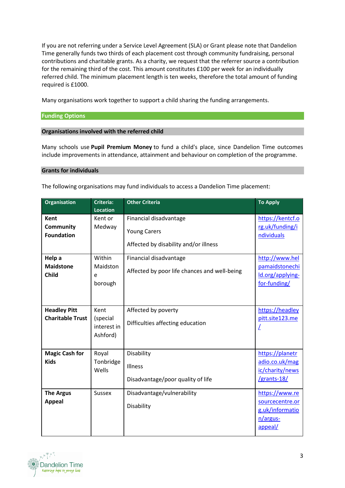If you are not referring under a Service Level Agreement (SLA) or Grant please note that Dandelion Time generally funds two thirds of each placement cost through community fundraising, personal contributions and charitable grants. As a charity, we request that the referrer source a contribution for the remaining third of the cost. This amount constitutes £100 per week for an individually referred child. The minimum placement length is ten weeks, therefore the total amount of funding required is £1000.

Many organisations work together to support a child sharing the funding arrangements.

### **Funding Options**

### **Organisations involved with the referred child**

Many schools use **Pupil Premium Money** to fund a child's place, since Dandelion Time outcomes include improvements in attendance, attainment and behaviour on completion of the programme.

### **Grants for individuals**

The following organisations may fund individuals to access a Dandelion Time placement:

| <b>Organisation</b>                                  | Criteria:<br><b>Location</b>                | <b>Other Criteria</b>                                                                  | <b>To Apply</b>                                                             |
|------------------------------------------------------|---------------------------------------------|----------------------------------------------------------------------------------------|-----------------------------------------------------------------------------|
| <b>Kent</b><br><b>Community</b><br><b>Foundation</b> | Kent or<br>Medway                           | Financial disadvantage<br><b>Young Carers</b><br>Affected by disability and/or illness | https://kentcf.o<br>rg.uk/funding/i<br>ndividuals                           |
| Help a<br><b>Maidstone</b><br><b>Child</b>           | Within<br>Maidston<br>e<br>borough          | Financial disadvantage<br>Affected by poor life chances and well-being                 | http://www.hel<br>pamaidstonechi<br>ld.org/applying-<br>for-funding/        |
| <b>Headley Pitt</b><br><b>Charitable Trust</b>       | Kent<br>(special<br>interest in<br>Ashford) | Affected by poverty<br>Difficulties affecting education                                | https://headley<br>pitt.site123.me<br>L                                     |
| <b>Magic Cash for</b><br><b>Kids</b>                 | Royal<br>Tonbridge<br>Wells                 | Disability<br>Illness<br>Disadvantage/poor quality of life                             | https://planetr<br>adio.co.uk/mag<br>ic/charity/news<br>/grants-18/         |
| <b>The Argus</b><br><b>Appeal</b>                    | <b>Sussex</b>                               | Disadvantage/vulnerability<br>Disability                                               | https://www.re<br>sourcecentre.or<br>g.uk/informatio<br>n/argus-<br>appeal/ |